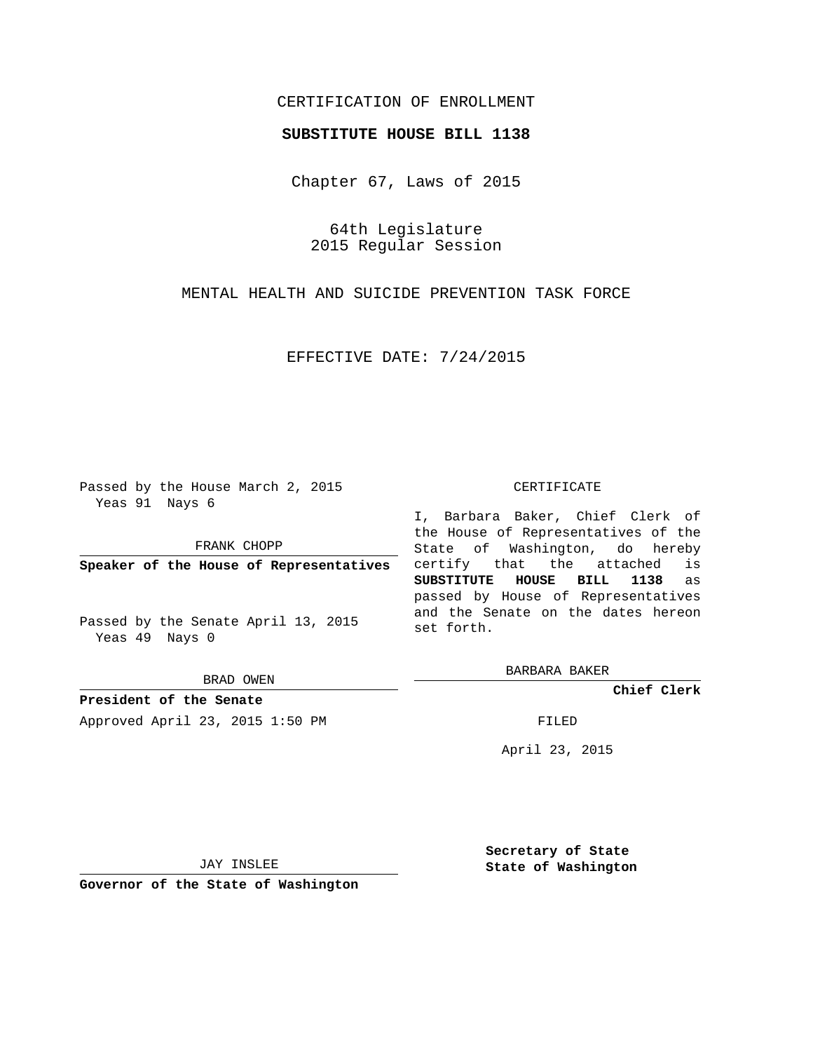# CERTIFICATION OF ENROLLMENT

### **SUBSTITUTE HOUSE BILL 1138**

Chapter 67, Laws of 2015

64th Legislature 2015 Regular Session

MENTAL HEALTH AND SUICIDE PREVENTION TASK FORCE

EFFECTIVE DATE: 7/24/2015

Passed by the House March 2, 2015 Yeas 91 Nays 6

FRANK CHOPP

**Speaker of the House of Representatives**

Passed by the Senate April 13, 2015 Yeas 49 Nays 0

BRAD OWEN

**President of the Senate** Approved April 23, 2015 1:50 PM FILED

#### CERTIFICATE

I, Barbara Baker, Chief Clerk of the House of Representatives of the State of Washington, do hereby certify that the attached is **SUBSTITUTE HOUSE BILL 1138** as passed by House of Representatives and the Senate on the dates hereon set forth.

BARBARA BAKER

**Chief Clerk**

April 23, 2015

JAY INSLEE

**Governor of the State of Washington**

**Secretary of State State of Washington**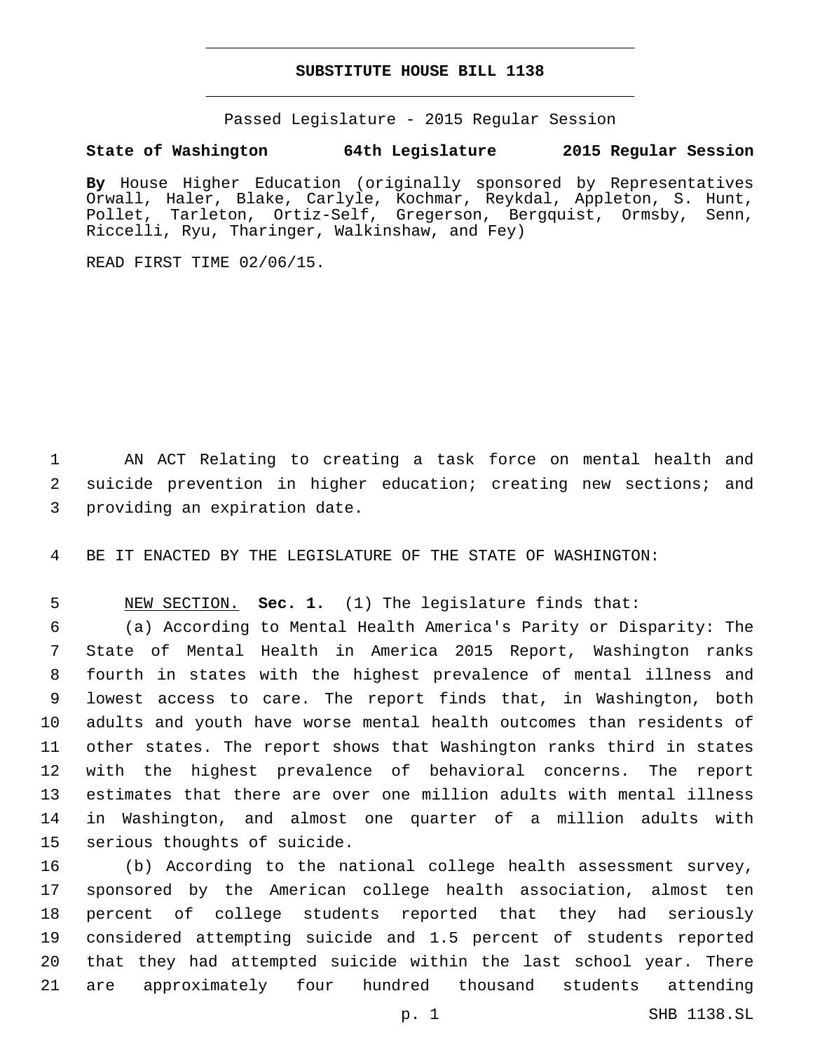## **SUBSTITUTE HOUSE BILL 1138**

Passed Legislature - 2015 Regular Session

## **State of Washington 64th Legislature 2015 Regular Session**

**By** House Higher Education (originally sponsored by Representatives Orwall, Haler, Blake, Carlyle, Kochmar, Reykdal, Appleton, S. Hunt, Pollet, Tarleton, Ortiz-Self, Gregerson, Bergquist, Ormsby, Senn, Riccelli, Ryu, Tharinger, Walkinshaw, and Fey)

READ FIRST TIME 02/06/15.

 AN ACT Relating to creating a task force on mental health and suicide prevention in higher education; creating new sections; and 3 providing an expiration date.

BE IT ENACTED BY THE LEGISLATURE OF THE STATE OF WASHINGTON:

NEW SECTION. **Sec. 1.** (1) The legislature finds that:

 (a) According to Mental Health America's Parity or Disparity: The State of Mental Health in America 2015 Report, Washington ranks fourth in states with the highest prevalence of mental illness and lowest access to care. The report finds that, in Washington, both adults and youth have worse mental health outcomes than residents of other states. The report shows that Washington ranks third in states with the highest prevalence of behavioral concerns. The report estimates that there are over one million adults with mental illness in Washington, and almost one quarter of a million adults with 15 serious thoughts of suicide.

 (b) According to the national college health assessment survey, sponsored by the American college health association, almost ten percent of college students reported that they had seriously considered attempting suicide and 1.5 percent of students reported that they had attempted suicide within the last school year. There are approximately four hundred thousand students attending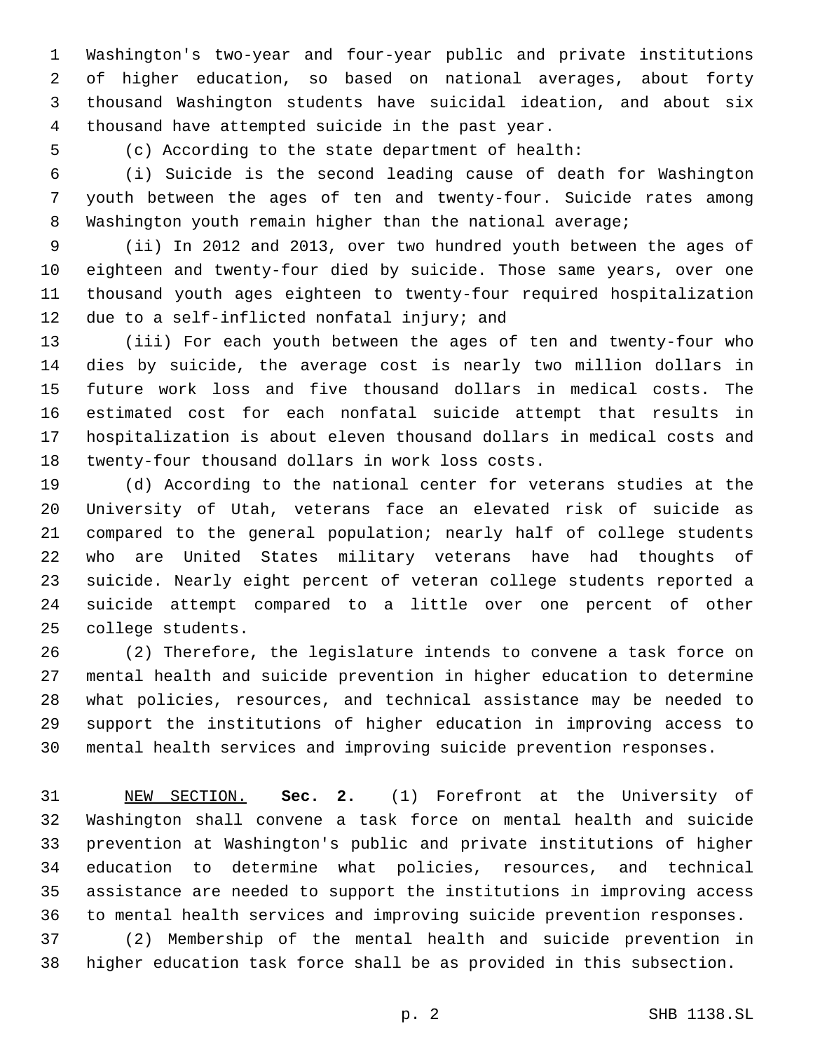Washington's two-year and four-year public and private institutions of higher education, so based on national averages, about forty thousand Washington students have suicidal ideation, and about six thousand have attempted suicide in the past year.4

(c) According to the state department of health:

 (i) Suicide is the second leading cause of death for Washington youth between the ages of ten and twenty-four. Suicide rates among Washington youth remain higher than the national average;

 (ii) In 2012 and 2013, over two hundred youth between the ages of eighteen and twenty-four died by suicide. Those same years, over one thousand youth ages eighteen to twenty-four required hospitalization 12 due to a self-inflicted nonfatal injury; and

 (iii) For each youth between the ages of ten and twenty-four who dies by suicide, the average cost is nearly two million dollars in future work loss and five thousand dollars in medical costs. The estimated cost for each nonfatal suicide attempt that results in hospitalization is about eleven thousand dollars in medical costs and 18 twenty-four thousand dollars in work loss costs.

 (d) According to the national center for veterans studies at the University of Utah, veterans face an elevated risk of suicide as compared to the general population; nearly half of college students who are United States military veterans have had thoughts of suicide. Nearly eight percent of veteran college students reported a suicide attempt compared to a little over one percent of other 25 college students.

 (2) Therefore, the legislature intends to convene a task force on mental health and suicide prevention in higher education to determine what policies, resources, and technical assistance may be needed to support the institutions of higher education in improving access to mental health services and improving suicide prevention responses.

 NEW SECTION. **Sec. 2.** (1) Forefront at the University of Washington shall convene a task force on mental health and suicide prevention at Washington's public and private institutions of higher education to determine what policies, resources, and technical assistance are needed to support the institutions in improving access to mental health services and improving suicide prevention responses.

 (2) Membership of the mental health and suicide prevention in higher education task force shall be as provided in this subsection.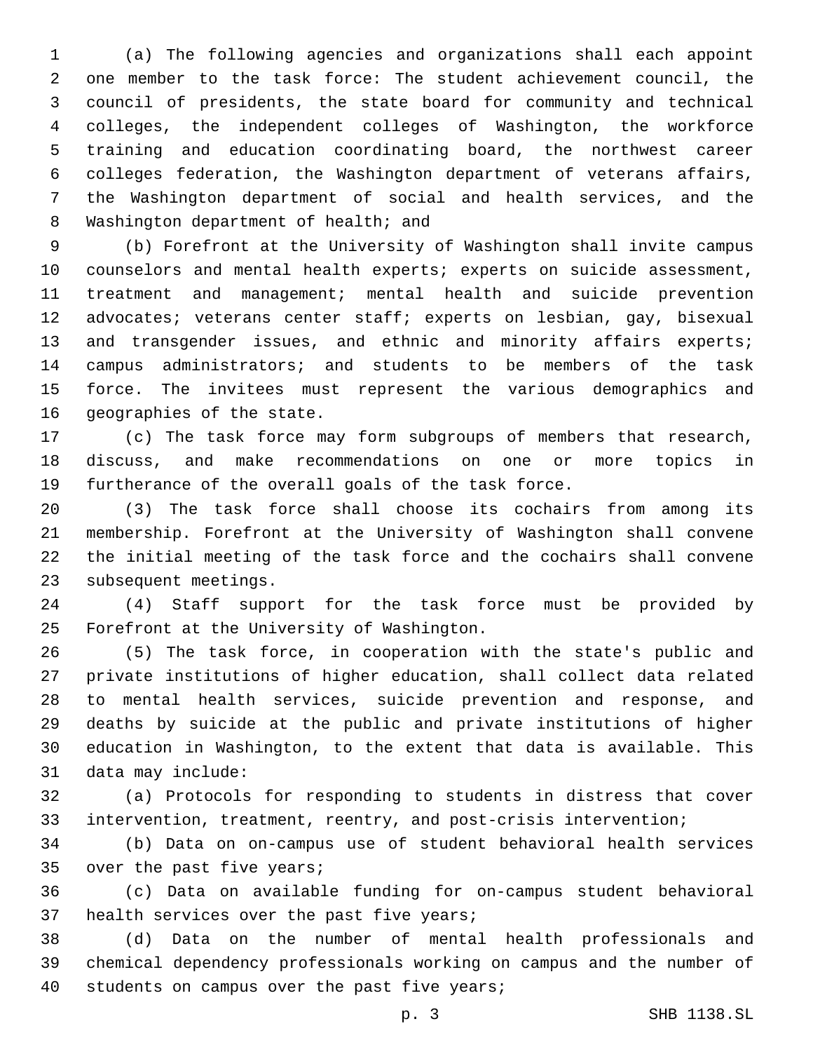(a) The following agencies and organizations shall each appoint one member to the task force: The student achievement council, the council of presidents, the state board for community and technical colleges, the independent colleges of Washington, the workforce training and education coordinating board, the northwest career colleges federation, the Washington department of veterans affairs, the Washington department of social and health services, and the 8 Washington department of health; and

 (b) Forefront at the University of Washington shall invite campus counselors and mental health experts; experts on suicide assessment, treatment and management; mental health and suicide prevention 12 advocates; veterans center staff; experts on lesbian, gay, bisexual 13 and transgender issues, and ethnic and minority affairs experts; campus administrators; and students to be members of the task force. The invitees must represent the various demographics and 16 geographies of the state.

 (c) The task force may form subgroups of members that research, discuss, and make recommendations on one or more topics in furtherance of the overall goals of the task force.

 (3) The task force shall choose its cochairs from among its membership. Forefront at the University of Washington shall convene the initial meeting of the task force and the cochairs shall convene 23 subsequent meetings.

 (4) Staff support for the task force must be provided by 25 Forefront at the University of Washington.

 (5) The task force, in cooperation with the state's public and private institutions of higher education, shall collect data related to mental health services, suicide prevention and response, and deaths by suicide at the public and private institutions of higher education in Washington, to the extent that data is available. This 31 data may include:

 (a) Protocols for responding to students in distress that cover intervention, treatment, reentry, and post-crisis intervention;

 (b) Data on on-campus use of student behavioral health services 35 over the past five years;

 (c) Data on available funding for on-campus student behavioral 37 health services over the past five years;

 (d) Data on the number of mental health professionals and chemical dependency professionals working on campus and the number of 40 students on campus over the past five years;